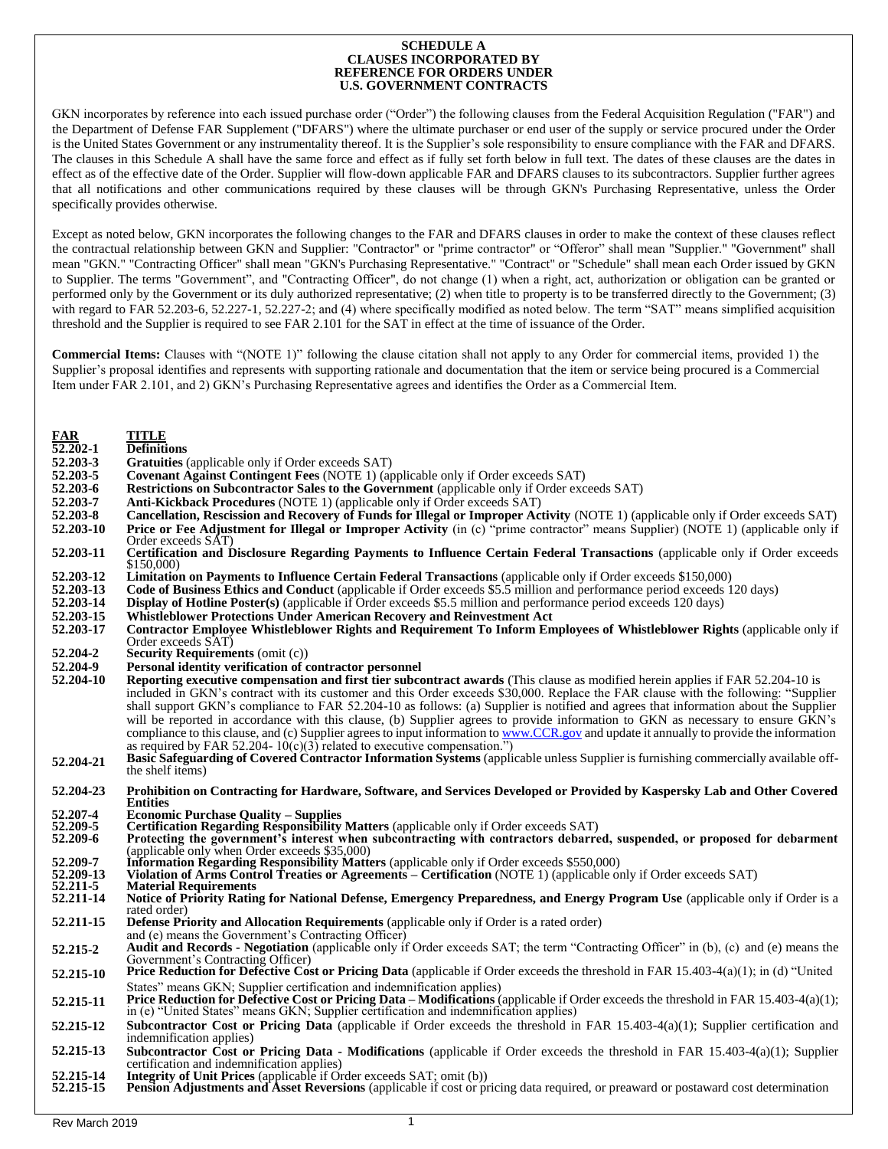## **SCHEDULE A CLAUSES INCORPORATED BY REFERENCE FOR ORDERS UNDER U.S. GOVERNMENT CONTRACTS**

GKN incorporates by reference into each issued purchase order ("Order") the following clauses from the Federal Acquisition Regulation ("FAR") and the Department of Defense FAR Supplement ("DFARS") where the ultimate purchaser or end user of the supply or service procured under the Order is the United States Government or any instrumentality thereof. It is the Supplier's sole responsibility to ensure compliance with the FAR and DFARS. The clauses in this Schedule A shall have the same force and effect as if fully set forth below in full text. The dates of these clauses are the dates in effect as of the effective date of the Order. Supplier will flow-down applicable FAR and DFARS clauses to its subcontractors. Supplier further agrees that all notifications and other communications required by these clauses will be through GKN's Purchasing Representative, unless the Order specifically provides otherwise.

Except as noted below, GKN incorporates the following changes to the FAR and DFARS clauses in order to make the context of these clauses reflect the contractual relationship between GKN and Supplier: "Contractor" or "prime contractor" or "Offeror" shall mean "Supplier." "Government" shall mean "GKN." "Contracting Officer" shall mean "GKN's Purchasing Representative." "Contract" or "Schedule" shall mean each Order issued by GKN to Supplier. The terms "Government", and "Contracting Officer", do not change (1) when a right, act, authorization or obligation can be granted or performed only by the Government or its duly authorized representative; (2) when title to property is to be transferred directly to the Government; (3) with regard to FAR 52.203-6, 52.227-1, 52.227-2; and (4) where specifically modified as noted below. The term "SAT" means simplified acquisition threshold and the Supplier is required to see FAR 2.101 for the SAT in effect at the time of issuance of the Order.

**Commercial Items:** Clauses with "(NOTE 1)" following the clause citation shall not apply to any Order for commercial items, provided 1) the Supplier's proposal identifies and represents with supporting rationale and documentation that the item or service being procured is a Commercial Item under FAR 2.101, and 2) GKN's Purchasing Representative agrees and identifies the Order as a Commercial Item.

| FAR<br>$\overline{52.202}$ -1 | <b>TITLE</b><br><b>Definitions</b>                                                                                                                                                                                                                                   |
|-------------------------------|----------------------------------------------------------------------------------------------------------------------------------------------------------------------------------------------------------------------------------------------------------------------|
| 52.203-3                      | Gratuities (applicable only if Order exceeds SAT)                                                                                                                                                                                                                    |
| 52.203-5                      | <b>Covenant Against Contingent Fees (NOTE 1) (applicable only if Order exceeds SAT)</b>                                                                                                                                                                              |
| 52.203-6                      | <b>Restrictions on Subcontractor Sales to the Government</b> (applicable only if Order exceeds SAT)                                                                                                                                                                  |
| 52.203-7                      | Anti-Kickback Procedures (NOTE 1) (applicable only if Order exceeds SAT)                                                                                                                                                                                             |
| 52.203-8                      | Cancellation, Rescission and Recovery of Funds for Illegal or Improper Activity (NOTE 1) (applicable only if Order exceeds SAT)                                                                                                                                      |
| 52.203-10                     | Price or Fee Adjustment for Illegal or Improper Activity (in (c) "prime contractor" means Supplier) (NOTE 1) (applicable only if<br>Order exceeds SAT)                                                                                                               |
| 52.203-11                     | Certification and Disclosure Regarding Payments to Influence Certain Federal Transactions (applicable only if Order exceeds<br>\$150,000                                                                                                                             |
| 52.203-12                     | Limitation on Payments to Influence Certain Federal Transactions (applicable only if Order exceeds \$150,000)                                                                                                                                                        |
| 52.203-13                     | Code of Business Ethics and Conduct (applicable if Order exceeds \$5.5 million and performance period exceeds 120 days)                                                                                                                                              |
| 52.203-14                     | <b>Display of Hotline Poster(s)</b> (applicable if Order exceeds \$5.5 million and performance period exceeds 120 days)                                                                                                                                              |
| 52.203-15                     | Whistleblower Protections Under American Recovery and Reinvestment Act                                                                                                                                                                                               |
| 52.203-17                     | Contractor Employee Whistleblower Rights and Requirement To Inform Employees of Whistleblower Rights (applicable only if<br>Order exceeds SATY                                                                                                                       |
| 52.204-2                      | <b>Security Requirements (omit (c))</b>                                                                                                                                                                                                                              |
| 52.204-9                      | Personal identity verification of contractor personnel                                                                                                                                                                                                               |
| 52.204-10                     | Reporting executive compensation and first tier subcontract awards (This clause as modified herein applies if FAR 52.204-10 is<br>included in GKN's contract with its customer and this Order exceeds \$30,000. Replace the FAR clause with the following: "Supplier |
|                               | shall support GKN's compliance to FAR 52.204-10 as follows: (a) Supplier is notified and agrees that information about the Supplier                                                                                                                                  |
|                               | will be reported in accordance with this clause, (b) Supplier agrees to provide information to GKN as necessary to ensure GKN's                                                                                                                                      |
|                               | compliance to this clause, and (c) Supplier agrees to input information to www.CCR.gov and update it annually to provide the information                                                                                                                             |
|                               | as required by FAR 52.204-10(c)(3) related to executive compensation.")                                                                                                                                                                                              |
| 52.204-21                     | Basic Safeguarding of Covered Contractor Information Systems (applicable unless Supplier is furnishing commercially available off-                                                                                                                                   |
|                               | the shelf items)                                                                                                                                                                                                                                                     |
|                               |                                                                                                                                                                                                                                                                      |
| 52.204-23                     | Prohibition on Contracting for Hardware, Software, and Services Developed or Provided by Kaspersky Lab and Other Covered                                                                                                                                             |
|                               | <b>Entities</b>                                                                                                                                                                                                                                                      |
| 52.207-4                      | <b>Economic Purchase Quality – Supplies</b>                                                                                                                                                                                                                          |
| 52.209-5<br>52.209-6          | Certification Regarding Responsibility Matters (applicable only if Order exceeds SAT)                                                                                                                                                                                |
|                               | Protecting the government's interest when subcontracting with contractors debarred, suspended, or proposed for debarment<br>(applicable only when Order exceeds \$35,000)                                                                                            |
| 52.209-7                      | Information Regarding Responsibility Matters (applicable only if Order exceeds \$550,000)                                                                                                                                                                            |
| 52.209-13                     | Violation of Arms Control Treaties or Agreements – Certification (NOTE 1) (applicable only if Order exceeds SAT)                                                                                                                                                     |
| 52.211-5                      | <b>Material Requirements</b>                                                                                                                                                                                                                                         |
| 52.211-14                     | Notice of Priority Rating for National Defense, Emergency Preparedness, and Energy Program Use (applicable only if Order is a                                                                                                                                        |
| 52.211-15                     | rated order)<br><b>Defense Priority and Allocation Requirements</b> (applicable only if Order is a rated order)                                                                                                                                                      |
|                               | and (e) means the Government's Contracting Officer)                                                                                                                                                                                                                  |
| 52.215-2                      | <b>Audit and Records - Negotiation</b> (applicable only if Order exceeds SAT; the term "Contracting Officer" in (b), (c) and (e) means the                                                                                                                           |
|                               | Government's Contracting Officer)                                                                                                                                                                                                                                    |
| 52.215-10                     | Price Reduction for Defective Cost or Pricing Data (applicable if Order exceeds the threshold in FAR 15.403-4(a)(1); in (d) "United                                                                                                                                  |
|                               | States" means GKN; Supplier certification and indemnification applies)                                                                                                                                                                                               |
| 52.215-11                     | Price Reduction for Defective Cost or Pricing Data – Modifications (applicable if Order exceeds the threshold in FAR 15.403-4(a)(1);                                                                                                                                 |
|                               | in (e) "United States" means GKN; Supplier certification and indemnification applies)                                                                                                                                                                                |
| 52.215-12                     | <b>Subcontractor Cost or Pricing Data</b> (applicable if Order exceeds the threshold in FAR 15.403-4(a)(1); Supplier certification and<br>indemnification applies)                                                                                                   |
| 52.215-13                     |                                                                                                                                                                                                                                                                      |
|                               | <b>Subcontractor Cost or Pricing Data - Modifications</b> (applicable if Order exceeds the threshold in FAR 15.403-4(a)(1); Supplier<br>certification and indemnification applies)                                                                                   |
| 52.215-14                     | <b>Integrity of Unit Prices</b> (applicable if Order exceeds SAT; omit (b))                                                                                                                                                                                          |
| 52.215-15                     | Pension Adjustments and Asset Reversions (applicable if cost or pricing data required, or preaward or postaward cost determination                                                                                                                                   |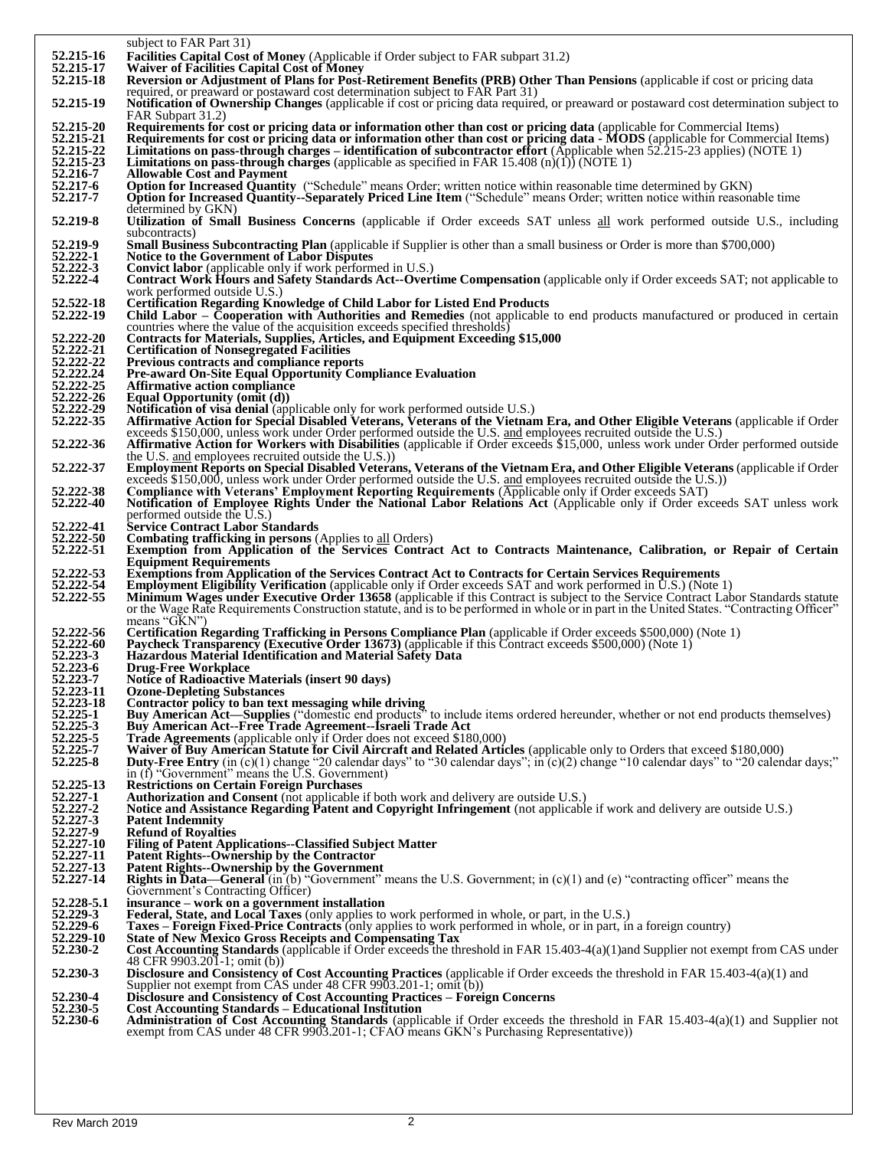|                          | subject to FAR Part 31)                                                                                                                                                                                                                                                         |
|--------------------------|---------------------------------------------------------------------------------------------------------------------------------------------------------------------------------------------------------------------------------------------------------------------------------|
| 52.215-16                | <b>Facilities Capital Cost of Money</b> (Applicable if Order subject to FAR subpart 31.2)                                                                                                                                                                                       |
| 52.215-17                | <b>Waiver of Facilities Capital Cost of Money</b>                                                                                                                                                                                                                               |
| 52.215-18                | Reversion or Adjustment of Plans for Post-Retirement Benefits (PRB) Other Than Pensions (applicable if cost or pricing data<br>required, or preaward or postaward cost determination subject to FAR Part 31)                                                                    |
| 52.215-19                | Notification of Ownership Changes (applicable if cost or pricing data required, or preaward or postaward cost determination subject to                                                                                                                                          |
|                          | FAR Subpart 31.2)                                                                                                                                                                                                                                                               |
| 52.215-20                | Requirements for cost or pricing data or information other than cost or pricing data (applicable for Commercial Items)                                                                                                                                                          |
| 52.215-21                | Requirements for cost or pricing data or information other than cost or pricing data - MODS (applicable for Commercial Items)                                                                                                                                                   |
| 52.215-22                | Limitations on pass-through charges – identification of subcontractor effort (Applicable when 52.215-23 applies) (NOTE 1)                                                                                                                                                       |
| 52.215-23<br>52.216-7    | <b>Limitations on pass-through charges</b> (applicable as specified in FAR 15.408 (n)(1)) (NOTE 1)<br><b>Allowable Cost and Payment</b>                                                                                                                                         |
| 52.217-6                 | <b>Option for Increased Quantity</b> ("Schedule" means Order; written notice within reasonable time determined by GKN)                                                                                                                                                          |
| 52.217-7                 | Option for Increased Quantity-Separately Priced Line Item ("Schedule" means Order; written notice within reasonable time                                                                                                                                                        |
|                          | determined by GKN)                                                                                                                                                                                                                                                              |
| 52.219-8                 | Utilization of Small Business Concerns (applicable if Order exceeds SAT unless all work performed outside U.S., including                                                                                                                                                       |
| 52.219-9                 | subcontracts)                                                                                                                                                                                                                                                                   |
| 52.222-1                 | <b>Small Business Subcontracting Plan</b> (applicable if Supplier is other than a small business or Order is more than \$700,000)<br><b>Notice to the Government of Labor Disputes</b>                                                                                          |
| 52.222-3                 | Convict labor (applicable only if work performed in U.S.)                                                                                                                                                                                                                       |
| 52.222-4                 | Contract Work Hours and Safety Standards Act--Overtime Compensation (applicable only if Order exceeds SAT; not applicable to                                                                                                                                                    |
|                          | work performed outside U.S.)                                                                                                                                                                                                                                                    |
| 52.522-18<br>52.222-19   | <b>Certification Regarding Knowledge of Child Labor for Listed End Products</b><br>Child Labor – Cooperation with Authorities and Remedies (not applicable to end products manufactured or produced in certain                                                                  |
|                          | countries where the value of the acquisition exceeds specified thresholds)                                                                                                                                                                                                      |
| 52.222-20                | <b>Contracts for Materials, Supplies, Articles, and Equipment Exceeding \$15,000</b>                                                                                                                                                                                            |
| 52.222-21                | <b>Certification of Nonsegregated Facilities</b>                                                                                                                                                                                                                                |
| 52.222-22                | Previous contracts and compliance reports                                                                                                                                                                                                                                       |
| 52.222.24                | Pre-award On-Site Equal Opportunity Compliance Evaluation                                                                                                                                                                                                                       |
| 52.222-25<br>52.222-26   | <b>Affirmative action compliance</b><br>Equal Opportunity (omit (d))                                                                                                                                                                                                            |
| 52.222-29                | Notification of visa denial (applicable only for work performed outside U.S.)                                                                                                                                                                                                   |
| 52.222-35                | Affirmative Action for Special Disabled Veterans, Veterans of the Vietnam Era, and Other Eligible Veterans (applicable if Order                                                                                                                                                 |
|                          | exceeds \$150,000, unless work under Order performed outside the U.S. and employees recruited outside the U.S.)                                                                                                                                                                 |
| 52.222-36                | <b>Affirmative Action for Workers with Disabilities</b> (applicable if Order exceeds \$15,000, unless work under Order performed outside                                                                                                                                        |
| 52.222-37                | the U.S. and employees recruited outside the U.S.)<br>Employment Reports on Special Disabled Veterans, Veterans of the Vietnam Era, and Other Eligible Veterans (applicable if Order                                                                                            |
|                          | exceeds \$150,000, unless work under Order performed outside the U.S. and employees recruited outside the U.S.)                                                                                                                                                                 |
| 52.222-38                | Compliance with Veterans' Employment Reporting Requirements (Applicable only if Order exceeds SAT)                                                                                                                                                                              |
| 52.222-40                | Notification of Employee Rights Under the National Labor Relations Act (Applicable only if Order exceeds SAT unless work                                                                                                                                                        |
|                          | performed outside the U.S.)                                                                                                                                                                                                                                                     |
| 52.222-41<br>52.222-50   | <b>Service Contract Labor Standards</b><br><b>Combating trafficking in persons</b> (Applies to all Orders)                                                                                                                                                                      |
| 52.222-51                | Exemption from Application of the Services Contract Act to Contracts Maintenance, Calibration, or Repair of Certain                                                                                                                                                             |
|                          | <b>Equipment Requirements</b>                                                                                                                                                                                                                                                   |
| 52.222-53                | Exemptions from Application of the Services Contract Act to Contracts for Certain Services Requirements                                                                                                                                                                         |
| 52.222-54                | <b>Employment Eligibility Verification</b> (applicable only if Order exceeds SAT and work performed in U.S.) (Note 1)                                                                                                                                                           |
| 52.222-55                | Minimum Wages under Executive Order 13658 (applicable if this Contract is subject to the Service Contract Labor Standards statute<br>or the Wage Rate Requirements Construction statute, and is to be performed in whole or in part in the United States. "Contracting Officer" |
|                          | means "GKN"                                                                                                                                                                                                                                                                     |
| 52.222-56                | Certification Regarding Trafficking in Persons Compliance Plan (applicable if Order exceeds \$500,000) (Note 1)                                                                                                                                                                 |
| 52.222-60<br>52.223-3    | <b>Paycheck Transparency (Executive Order 13673)</b> (applicable if this Contract exceeds \$500,000) (Note 1)                                                                                                                                                                   |
| 52.223-6                 | Hazardous Material Identification and Material Safety Data<br><b>Drug-Free Workplace</b>                                                                                                                                                                                        |
| 52.223-7                 | <b>Notice of Radioactive Materials (insert 90 days)</b>                                                                                                                                                                                                                         |
| 52.223-11                | <b>Ozone-Depleting Substances</b>                                                                                                                                                                                                                                               |
| 52.223-18                |                                                                                                                                                                                                                                                                                 |
| 52.225-1<br>52.225-3     | Contractor policy to ban text messaging while driving                                                                                                                                                                                                                           |
| 52.225-5                 | Buy American Act—Supplies ("domestic end products" to include items ordered hereunder, whether or not end products themselves)                                                                                                                                                  |
|                          | Buy American Act--Free Trade Agreement--Israeli Trade Act                                                                                                                                                                                                                       |
| 52.225-7                 | Trade Agreements (applicable only if Order does not exceed \$180,000)<br>Waiver of Buy American Statute for Civil Aircraft and Related Articles (applicable only to Orders that exceed \$180,000)                                                                               |
| 52.225-8                 | Duty-Free Entry (in (c)(1) change "20 calendar days" to "30 calendar days"; in (c)(2) change "10 calendar days" to "20 calendar days;"                                                                                                                                          |
|                          | in (f) "Government" means the U.S. Government)                                                                                                                                                                                                                                  |
| 52.225-13                | <b>Restrictions on Certain Foreign Purchases</b>                                                                                                                                                                                                                                |
| 52.227-1                 | Authorization and Consent (not applicable if both work and delivery are outside U.S.)                                                                                                                                                                                           |
| 52.227-2<br>$52.227 - 3$ | Notice and Assistance Regarding Patent and Copyright Infringement (not applicable if work and delivery are outside U.S.)<br><b>Patent Indemnity</b>                                                                                                                             |
| 52.227-9                 | <b>Refund of Royalties</b>                                                                                                                                                                                                                                                      |
| 52.227-10                | <b>Filing of Patent Applications--Classified Subject Matter</b>                                                                                                                                                                                                                 |
| 52.227-11                | Patent Rights--Ownership by the Contractor                                                                                                                                                                                                                                      |
| 52.227-13<br>52.227-14   | Patent Rights--Ownership by the Government                                                                                                                                                                                                                                      |
|                          | <b>Rights in Data—General</b> (in (b) "Government" means the U.S. Government; in $(c)(1)$ and (e) "contracting officer" means the<br>Government's Contracting Officer)                                                                                                          |
| 52.228-5.1               | insurance – work on a government installation                                                                                                                                                                                                                                   |
| 52.229-3                 | <b>Federal, State, and Local Taxes</b> (only applies to work performed in whole, or part, in the U.S.)                                                                                                                                                                          |
| 52.229-6                 | <b>Taxes – Foreign Fixed-Price Contracts</b> (only applies to work performed in whole, or in part, in a foreign country)                                                                                                                                                        |
| 52.229-10<br>52.230-2    | <b>State of New Mexico Gross Receipts and Compensating Tax</b><br>Cost Accounting Standards (applicable if Order exceeds the threshold in FAR 15.403-4(a)(1)and Supplier not exempt from CAS under                                                                              |
|                          | 48 CFR 9903.201-1; omit (b))                                                                                                                                                                                                                                                    |
| 52.230-3                 | Disclosure and Consistency of Cost Accounting Practices (applicable if Order exceeds the threshold in FAR 15.403-4(a)(1) and                                                                                                                                                    |
|                          | Supplier not exempt from CAS under 48 CFR 9903.201-1; omit (b))                                                                                                                                                                                                                 |
| 52.230-4<br>52.230-5     | <b>Disclosure and Consistency of Cost Accounting Practices – Foreign Concerns</b><br><b>Cost Accounting Standards – Educational Institution</b>                                                                                                                                 |
| 52.230-6                 | Administration of Cost Accounting Standards (applicable if Order exceeds the threshold in FAR 15.403-4(a)(1) and Supplier not                                                                                                                                                   |
|                          | exempt from CAS under 48 CFR 9903.201-1; CFAO means GKN's Purchasing Representative))                                                                                                                                                                                           |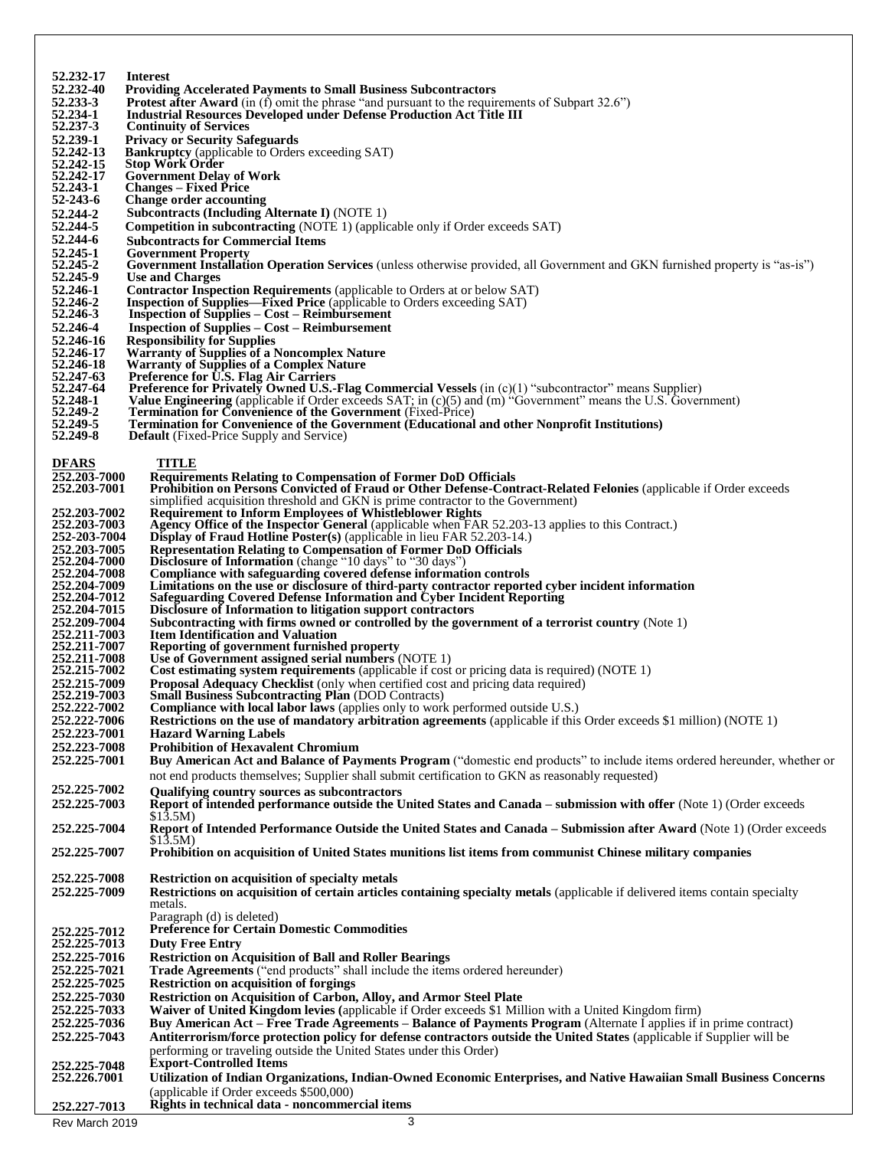| 52.232-17                        | <b>Interest</b>                                                                                                                                                                                                           |
|----------------------------------|---------------------------------------------------------------------------------------------------------------------------------------------------------------------------------------------------------------------------|
| 52.232-40                        | <b>Providing Accelerated Payments to Small Business Subcontractors</b>                                                                                                                                                    |
| 52.233-3                         | <b>Protest after Award</b> (in (f) omit the phrase "and pursuant to the requirements of Subpart 32.6")                                                                                                                    |
| 52.234-1<br>52.237-3             | <b>Industrial Resources Developed under Defense Production Act Title III</b><br><b>Continuity of Services</b>                                                                                                             |
| 52.239-1                         | <b>Privacy or Security Safeguards</b>                                                                                                                                                                                     |
| 52.242-13                        | <b>Bankruptcy</b> (applicable to Orders exceeding SAT)                                                                                                                                                                    |
| 52.242-15                        | <b>Stop Work Order</b>                                                                                                                                                                                                    |
| 52.242-17                        | <b>Government Delay of Work</b>                                                                                                                                                                                           |
| 52.243-1                         | <b>Changes – Fixed Price</b>                                                                                                                                                                                              |
| $52 - 243 - 6$                   | <b>Change order accounting</b>                                                                                                                                                                                            |
| 52.244-2                         | <b>Subcontracts (Including Alternate I) (NOTE 1)</b>                                                                                                                                                                      |
| 52.244-5<br>52.244-6             | <b>Competition in subcontracting</b> (NOTE 1) (applicable only if Order exceeds SAT)                                                                                                                                      |
| 52.245-1                         | <b>Subcontracts for Commercial Items</b><br><b>Government Property</b>                                                                                                                                                    |
| 52.245-2                         | Government Installation Operation Services (unless otherwise provided, all Government and GKN furnished property is "as-is")                                                                                              |
| 52.245-9                         | <b>Use and Charges</b>                                                                                                                                                                                                    |
| 52.246-1                         | <b>Contractor Inspection Requirements</b> (applicable to Orders at or below SAT)                                                                                                                                          |
| 52.246-2                         | <b>Inspection of Supplies—Fixed Price</b> (applicable to Orders exceeding SAT)                                                                                                                                            |
| 52.246-3                         | <b>Inspection of Supplies – Cost – Reimbursement</b>                                                                                                                                                                      |
| 52.246-4                         | <b>Inspection of Supplies – Cost – Reimbursement</b>                                                                                                                                                                      |
| 52.246-16<br>52.246-17           | <b>Responsibility for Supplies</b><br><b>Warranty of Supplies of a Noncomplex Nature</b>                                                                                                                                  |
| 52.246-18                        | <b>Warranty of Supplies of a Complex Nature</b>                                                                                                                                                                           |
| 52, 247 - 63                     | Preference for U.S. Flag Air Carriers                                                                                                                                                                                     |
| 52.247-64                        | <b>Preference for Privately Owned U.S.-Flag Commercial Vessels</b> (in $(c)(1)$ "subcontractor" means Supplier)                                                                                                           |
| 52.248-1                         | Value Engineering (applicable if Order exceeds SAT; in (c)(5) and (m) "Government" means the U.S. Government)                                                                                                             |
| 52.249-2<br>52.249-5             | <b>Termination for Convenience of the Government</b> (Fixed-Price)<br><b>Termination for Convenience of the Government (Educational and other Nonprofit Institutions)</b>                                                 |
| 52.249-8                         | <b>Default</b> (Fixed-Price Supply and Service)                                                                                                                                                                           |
|                                  |                                                                                                                                                                                                                           |
| <b>DFARS</b>                     | TITLE                                                                                                                                                                                                                     |
| 252.203-7000                     | <b>Requirements Relating to Compensation of Former DoD Officials</b>                                                                                                                                                      |
| 252.203-7001                     | Prohibition on Persons Convicted of Fraud or Other Defense-Contract-Related Felonies (applicable if Order exceeds                                                                                                         |
|                                  | simplified acquisition threshold and GKN is prime contractor to the Government)                                                                                                                                           |
| 252, 203-7002<br>252, 203-7003   | <b>Requirement to Inform Employees of Whistleblower Rights</b><br>Agency Office of the Inspector General (applicable when FAR 52.203-13 applies to this Contract.)                                                        |
| 252-203-7004                     | <b>Display of Fraud Hotline Poster(s)</b> (applicable in lieu FAR 52.203-14.)                                                                                                                                             |
| 252, 203-7005                    | <b>Representation Relating to Compensation of Former DoD Officials</b>                                                                                                                                                    |
| 252,204-7000                     | Disclosure of Information (change "10 days" to "30 days")                                                                                                                                                                 |
| 252.204-7008                     | Compliance with safeguarding covered defense information controls                                                                                                                                                         |
| 252, 204-7009                    | Limitations on the use or disclosure of third-party contractor reported cyber incident information                                                                                                                        |
| 252, 204-7012<br>252, 204-7015   | Safeguarding Covered Defense Information and Cyber Incident Reporting<br>Disclosure of Information to litigation support contractors                                                                                      |
| 252,209-7004                     | Subcontracting with firms owned or controlled by the government of a terrorist country (Note 1)                                                                                                                           |
| 252.211-7003                     | <b>Item Identification and Valuation</b>                                                                                                                                                                                  |
| 252,211-7007                     | Reporting of government furnished property                                                                                                                                                                                |
| 252, 211-7008                    | Use of Government assigned serial numbers (NOTE 1)                                                                                                                                                                        |
| 252, 215-7002                    | <b>Cost estimating system requirements</b> (applicable if cost or pricing data is required) (NOTE 1)                                                                                                                      |
| 252.215-7009<br>252.219-7003     | <b>Proposal Adequacy Checklist</b> (only when certified cost and pricing data required)                                                                                                                                   |
| 252,222-7002                     | <b>Small Business Subcontracting Plan (DOD Contracts)</b><br>Compliance with local labor laws (applies only to work performed outside U.S.)                                                                               |
| 252.222-7006                     | Restrictions on the use of mandatory arbitration agreements (applicable if this Order exceeds \$1 million) (NOTE 1)                                                                                                       |
| 252,223-7001                     | <b>Hazard Warning Labels</b>                                                                                                                                                                                              |
| 252,223-7008                     | <b>Prohibition of Hexavalent Chromium</b>                                                                                                                                                                                 |
| 252,225-7001                     | Buy American Act and Balance of Payments Program ("domestic end products" to include items ordered hereunder, whether or                                                                                                  |
|                                  | not end products themselves; Supplier shall submit certification to GKN as reasonably requested)                                                                                                                          |
| 252, 225-7002                    | Qualifying country sources as subcontractors                                                                                                                                                                              |
| 252,225-7003                     | Report of intended performance outside the United States and Canada – submission with offer (Note 1) (Order exceeds                                                                                                       |
|                                  | \$13.5M)                                                                                                                                                                                                                  |
| 252.225-7004                     | Report of Intended Performance Outside the United States and Canada – Submission after Award (Note 1) (Order exceeds                                                                                                      |
|                                  | \$13.5M)                                                                                                                                                                                                                  |
| 252,225-7007                     | Prohibition on acquisition of United States munitions list items from communist Chinese military companies                                                                                                                |
| 252,225-7008                     | Restriction on acquisition of specialty metals                                                                                                                                                                            |
| 252,225-7009                     | Restrictions on acquisition of certain articles containing specialty metals (applicable if delivered items contain specialty                                                                                              |
|                                  | metals.                                                                                                                                                                                                                   |
|                                  | Paragraph (d) is deleted)                                                                                                                                                                                                 |
| 252.225-7012                     | <b>Preference for Certain Domestic Commodities</b>                                                                                                                                                                        |
| 252.225-7013                     | <b>Duty Free Entry</b>                                                                                                                                                                                                    |
| 252,225-7016                     | <b>Restriction on Acquisition of Ball and Roller Bearings</b>                                                                                                                                                             |
| 252.225-7021                     | Trade Agreements ("end products" shall include the items ordered hereunder)                                                                                                                                               |
| 252, 225-7025                    | <b>Restriction on acquisition of forgings</b>                                                                                                                                                                             |
| 252,225-7030                     | Restriction on Acquisition of Carbon, Alloy, and Armor Steel Plate                                                                                                                                                        |
| 252, 225-7033<br>252, 225 - 7036 | Waiver of United Kingdom levies (applicable if Order exceeds \$1 Million with a United Kingdom firm)<br>Buy American Act – Free Trade Agreements – Balance of Payments Program (Alternate I applies if in prime contract) |
| 252, 225-7043                    | Antiterrorism/force protection policy for defense contractors outside the United States (applicable if Supplier will be                                                                                                   |
|                                  | performing or traveling outside the United States under this Order)                                                                                                                                                       |
| 252,225-7048                     | <b>Export-Controlled Items</b>                                                                                                                                                                                            |
| 252,226,7001                     | Utilization of Indian Organizations, Indian-Owned Economic Enterprises, and Native Hawaiian Small Business Concerns                                                                                                       |
|                                  | (applicable if Order exceeds \$500,000)                                                                                                                                                                                   |
| 252.227-7013                     | Rights in technical data - noncommercial items                                                                                                                                                                            |
| Rev March 2019                   | 3                                                                                                                                                                                                                         |
|                                  |                                                                                                                                                                                                                           |